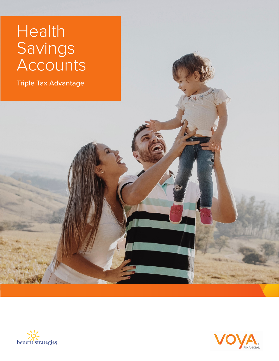# Health Savings Accounts

Triple Tax Advantage





4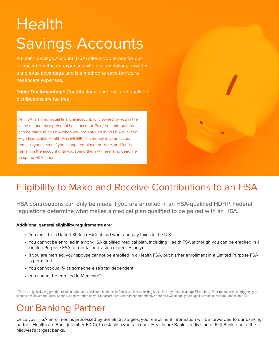# Health Savings Accounts

A Health Savings Account (HSA) allows you to pay for outof-pocket healthcare expenses with pre-tax dollars, provides a triple-tax advantage and is a method to save for future healthcare expenses.

**Triple Tax Advantage:** Contributions, earnings, and qualified distributions are tax free!

An HSA is an individual financial account, fully owned by you in the same manner as a personal bank account. Tax free contributions can be made to an HSA when you are enrolled in an HSA qualified High Deductible Health Plan (HDHP).The money in your account remains yours even if you change employer or retire, and funds remain in the account until you spend them -> there is no deadline to spend HSA funds.

# Eligibility to Make and Receive Contributions to an HSA

HSA contributions can only be made if you are enrolled in an HSA-qualified HDHP. Federal regulations determine what makes a medical plan qualified to be paired with an HSA.

#### **Additional general eligibility requirements are:**

- You must be a United States resident and work and pay taxes in the U.S.
- You cannot be enrolled in a non-HSA qualified medical plan, including Health FSA (although you can be enrolled in a Limited Purpose FSA for dental and vision expenses only)
- If you are married, your spouse cannot be enrolled in a Health FSA, but his/her enrollment in a Limited Purpose FSA is permitted
- You cannot qualify as someone else's tax dependent
- You cannot be enrolled in Medicare\*

\* There are typically triggers that result in automatic enrollment in Medicare Part A (such as collecting Social Security benefits at age 65 or older). Prior to one of these triggers, you should consult with the Social Security Administration on your Medicare Part A enrollment and effective date as it will impact your eligibility to make contributions to an HSA.

# Our Banking Partner

Once your HSA enrollment is processed by Benefit Strategies, your enrollment information will be forwarded to our banking partner, Healthcare Bank (member FDIC), to establish your account. Healthcare Bank is a division of Bell Bank, one of the Midwest's largest banks.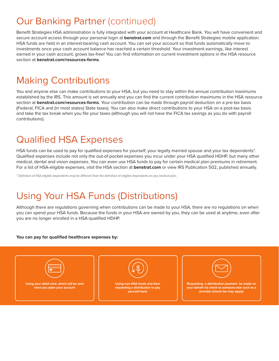# Our Banking Partner (continued)

Benefit Strategies HSA administration is fully integrated with your account at Healthcare Bank. You will have convenient and secure account access through your personal login at **benstrat.com** and through the Benefit Strategies mobile application. HSA funds are held in an interest-bearing cash account. You can set your account so that funds automatically move to investments once your cash account balance has reached a certain threshold. Your investment earnings, like interest earned in your cash account, grows tax-free! You can find information on current investment options in the HSA resource section at **benstrat.com/resources-forms**.

# Making Contributions

You and anyone else can make contributions to your HSA, but you need to stay within the annual contribution maximums established by the IRS. This amount is set annually and you can find the current contribution maximums in the HSA resource section at **benstrat.com/resources-forms**. Your contribution can be made through payroll deduction on a pre-tax basis (Federal, FICA and (in most states) State taxes). You can also make direct contributions to your HSA on a post-tax basis and take the tax break when you file your taxes (although you will not have the FICA tax savings as you do with payroll contributions).

### Qualified HSA Expenses

HSA funds can be used to pay for qualified expenses for yourself, your legally married spouse and your tax dependents\*. Qualified expenses include not only the out-of-pocket expenses you incur under your HSA qualified HDHP, but many other medical, dental and vision expenses. You can even use HSA funds to pay for certain medical plan premiums in retirement. For a list of HSA-eligible expenses, visit the HSA section at **benstrat.com** or view IRS Publication 502, published annually.

\* Definition of HSA-eligible dependents may be different than the definition of eligible dependents on you medical plan.

# Using Your HSA Funds (Distributions)

Although there are regulations governing when contributions can be made to your HSA, there are no regulations on when you can spend your HSA funds. Because the funds in your HSA are owned by you, they can be used at anytime, even after you are no longer enrolled in a HSA-qualified HDHP.

#### **You can pay for qualified healthcare expenses by:**